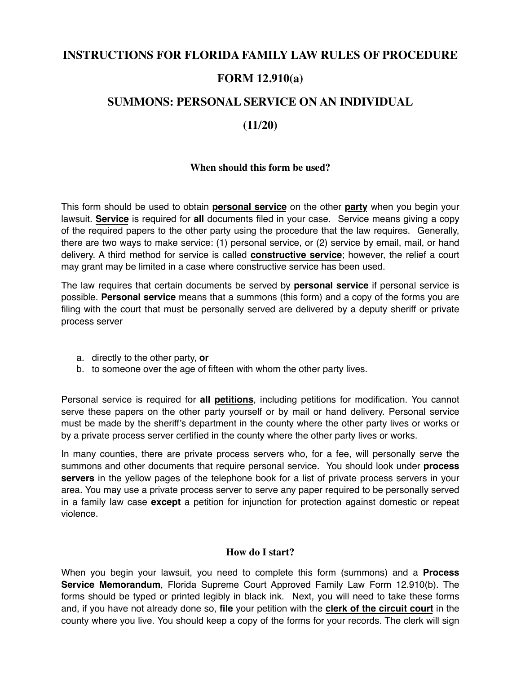## **INSTRUCTIONS FOR FLORIDA FAMILY LAW RULES OF PROCEDURE**

### **FORM 12.910(a)**

## **SUMMONS: PERSONAL SERVICE ON AN INDIVIDUAL**

### **(11/20)**

#### **When should this form be used?**

This form should be used to obtain **personal service** on the other **party** when you begin your lawsuit. **Service** is required for **all** documents filed in your case. Service means giving a copy of the required papers to the other party using the procedure that the law requires. Generally, there are two ways to make service: (1) personal service, or (2) service by email, mail, or hand delivery. A third method for service is called **constructive service**; however, the relief a court may grant may be limited in a case where constructive service has been used.

The law requires that certain documents be served by **personal service** if personal service is possible. **Personal service** means that a summons (this form) and a copy of the forms you are filing with the court that must be personally served are delivered by a deputy sheriff or private process server

- a. directly to the other party, **or**
- b. to someone over the age of fifteen with whom the other party lives.

Personal service is required for **all petitions**, including petitions for modification. You cannot serve these papers on the other party yourself or by mail or hand delivery. Personal service must be made by the sheriff's department in the county where the other party lives or works or by a private process server certified in the county where the other party lives or works.

In many counties, there are private process servers who, for a fee, will personally serve the summons and other documents that require personal service. You should look under **process servers** in the yellow pages of the telephone book for a list of private process servers in your area. You may use a private process server to serve any paper required to be personally served in a family law case **except** a petition for injunction for protection against domestic or repeat violence.

#### **How do I start?**

When you begin your lawsuit, you need to complete this form (summons) and a **Process Service Memorandum**, Florida Supreme Court Approved Family Law Form 12.910(b). The forms should be typed or printed legibly in black ink. Next, you will need to take these forms and, if you have not already done so, **file** your petition with the **clerk of the circuit court** in the county where you live. You should keep a copy of the forms for your records. The clerk will sign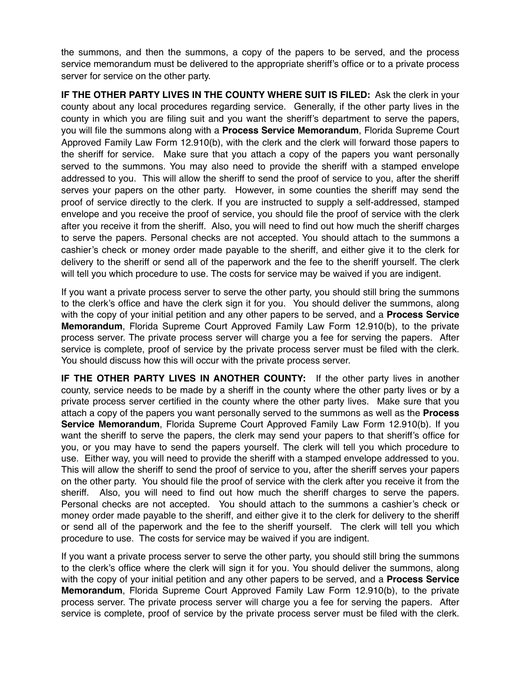the summons, and then the summons, a copy of the papers to be served, and the process service memorandum must be delivered to the appropriate sheriff's office or to a private process server for service on the other party.

**IF THE OTHER PARTY LIVES IN THE COUNTY WHERE SUIT IS FILED:** Ask the clerk in your county about any local procedures regarding service. Generally, if the other party lives in the county in which you are filing suit and you want the sheriff's department to serve the papers, you will file the summons along with a **Process Service Memorandum**, Florida Supreme Court Approved Family Law Form 12.910(b), with the clerk and the clerk will forward those papers to the sheriff for service. Make sure that you attach a copy of the papers you want personally served to the summons. You may also need to provide the sheriff with a stamped envelope addressed to you. This will allow the sheriff to send the proof of service to you, after the sheriff serves your papers on the other party. However, in some counties the sheriff may send the proof of service directly to the clerk. If you are instructed to supply a self-addressed, stamped envelope and you receive the proof of service, you should file the proof of service with the clerk after you receive it from the sheriff. Also, you will need to find out how much the sheriff charges to serve the papers. Personal checks are not accepted. You should attach to the summons a cashier's check or money order made payable to the sheriff, and either give it to the clerk for delivery to the sheriff or send all of the paperwork and the fee to the sheriff yourself. The clerk will tell you which procedure to use. The costs for service may be waived if you are indigent.

If you want a private process server to serve the other party, you should still bring the summons to the clerk's office and have the clerk sign it for you. You should deliver the summons, along with the copy of your initial petition and any other papers to be served, and a **Process Service Memorandum**, Florida Supreme Court Approved Family Law Form 12.910(b), to the private process server. The private process server will charge you a fee for serving the papers. After service is complete, proof of service by the private process server must be filed with the clerk. You should discuss how this will occur with the private process server.

**IF THE OTHER PARTY LIVES IN ANOTHER COUNTY:** If the other party lives in another county, service needs to be made by a sheriff in the county where the other party lives or by a private process server certified in the county where the other party lives. Make sure that you attach a copy of the papers you want personally served to the summons as well as the **Process Service Memorandum**, Florida Supreme Court Approved Family Law Form 12.910(b). If you want the sheriff to serve the papers, the clerk may send your papers to that sheriff's office for you, or you may have to send the papers yourself. The clerk will tell you which procedure to use. Either way, you will need to provide the sheriff with a stamped envelope addressed to you. This will allow the sheriff to send the proof of service to you, after the sheriff serves your papers on the other party. You should file the proof of service with the clerk after you receive it from the sheriff. Also, you will need to find out how much the sheriff charges to serve the papers. Personal checks are not accepted. You should attach to the summons a cashier's check or money order made payable to the sheriff, and either give it to the clerk for delivery to the sheriff or send all of the paperwork and the fee to the sheriff yourself. The clerk will tell you which procedure to use. The costs for service may be waived if you are indigent.

If you want a private process server to serve the other party, you should still bring the summons to the clerk's office where the clerk will sign it for you. You should deliver the summons, along with the copy of your initial petition and any other papers to be served, and a **Process Service Memorandum**, Florida Supreme Court Approved Family Law Form 12.910(b), to the private process server. The private process server will charge you a fee for serving the papers. After service is complete, proof of service by the private process server must be filed with the clerk.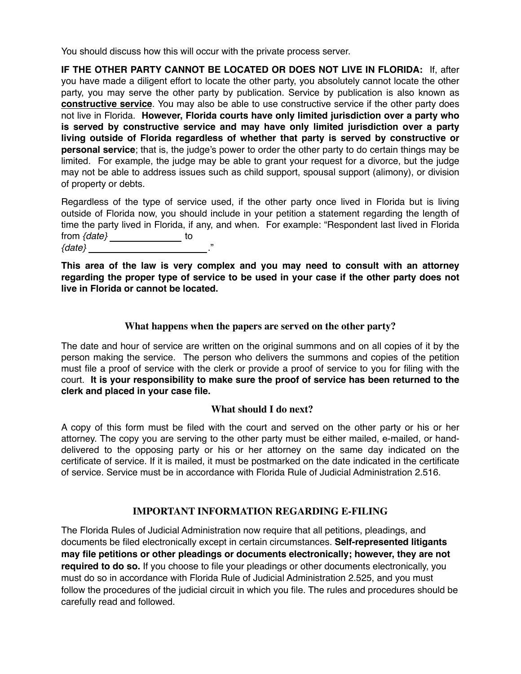You should discuss how this will occur with the private process server.

**IF THE OTHER PARTY CANNOT BE LOCATED OR DOES NOT LIVE IN FLORIDA:** If, after you have made a diligent effort to locate the other party, you absolutely cannot locate the other party, you may serve the other party by publication. Service by publication is also known as **constructive service**. You may also be able to use constructive service if the other party does not live in Florida. **However, Florida courts have only limited jurisdiction over a party who is served by constructive service and may have only limited jurisdiction over a party living outside of Florida regardless of whether that party is served by constructive or personal service**; that is, the judge's power to order the other party to do certain things may be limited. For example, the judge may be able to grant your request for a divorce, but the judge may not be able to address issues such as child support, spousal support (alimony), or division of property or debts.

Regardless of the type of service used, if the other party once lived in Florida but is living outside of Florida now, you should include in your petition a statement regarding the length of time the party lived in Florida, if any, and when. For example: "Respondent last lived in Florida from  $\{date\}$  to

*{date}* ."

**This area of the law is very complex and you may need to consult with an attorney regarding the proper type of service to be used in your case if the other party does not live in Florida or cannot be located.**

#### **What happens when the papers are served on the other party?**

The date and hour of service are written on the original summons and on all copies of it by the person making the service. The person who delivers the summons and copies of the petition must file a proof of service with the clerk or provide a proof of service to you for filing with the court. **It is your responsibility to make sure the proof of service has been returned to the clerk and placed in your case file.**

#### **What should I do next?**

A copy of this form must be filed with the court and served on the other party or his or her attorney. The copy you are serving to the other party must be either mailed, e-mailed, or handdelivered to the opposing party or his or her attorney on the same day indicated on the certificate of service. If it is mailed, it must be postmarked on the date indicated in the certificate of service. Service must be in accordance with Florida Rule of Judicial Administration 2.516.

#### **IMPORTANT INFORMATION REGARDING E-FILING**

The Florida Rules of Judicial Administration now require that all petitions, pleadings, and documents be filed electronically except in certain circumstances. **Self-represented litigants may file petitions or other pleadings or documents electronically; however, they are not required to do so.** If you choose to file your pleadings or other documents electronically, you must do so in accordance with Florida Rule of Judicial Administration 2.525, and you must follow the procedures of the judicial circuit in which you file. The rules and procedures should be carefully read and followed.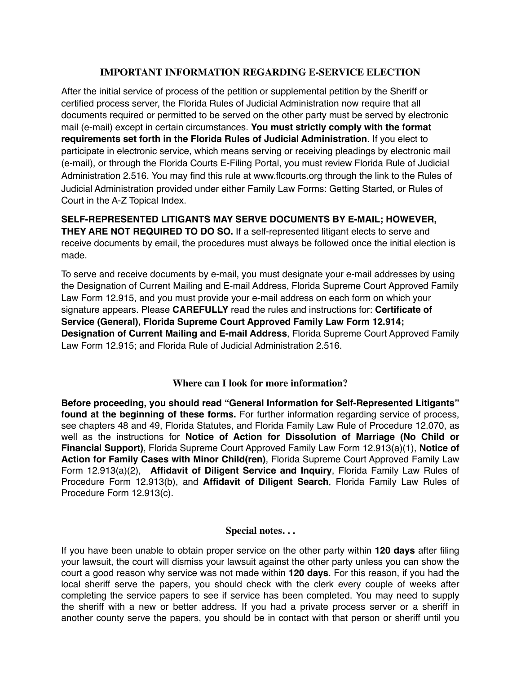#### **IMPORTANT INFORMATION REGARDING E-SERVICE ELECTION**

After the initial service of process of the petition or supplemental petition by the Sheriff or certified process server, the Florida Rules of Judicial Administration now require that all documents required or permitted to be served on the other party must be served by electronic mail (e-mail) except in certain circumstances. **You must strictly comply with the format requirements set forth in the Florida Rules of Judicial Administration**. If you elect to participate in electronic service, which means serving or receiving pleadings by electronic mail (e-mail), or through the Florida Courts E-Filing Portal, you must review Florida Rule of Judicial Administration 2.516. You may find this rule at www.flcourts.org through the link to the Rules of Judicial Administration provided under either Family Law Forms: Getting Started, or Rules of Court in the A-Z Topical Index.

**SELF-REPRESENTED LITIGANTS MAY SERVE DOCUMENTS BY E-MAIL; HOWEVER, THEY ARE NOT REQUIRED TO DO SO.** If a self-represented litigant elects to serve and receive documents by email, the procedures must always be followed once the initial election is made.

To serve and receive documents by e-mail, you must designate your e-mail addresses by using the Designation of Current Mailing and E-mail Address, Florida Supreme Court Approved Family Law Form 12.915, and you must provide your e-mail address on each form on which your signature appears. Please **CAREFULLY** read the rules and instructions for: **Certificate of Service (General), Florida Supreme Court Approved Family Law Form 12.914; Designation of Current Mailing and E-mail Address**, Florida Supreme Court Approved Family Law Form 12.915; and Florida Rule of Judicial Administration 2.516.

#### **Where can I look for more information?**

**Before proceeding, you should read "General Information for Self-Represented Litigants" found at the beginning of these forms.** For further information regarding service of process, see chapters 48 and 49, Florida Statutes, and Florida Family Law Rule of Procedure 12.070, as well as the instructions for **Notice of Action for Dissolution of Marriage (No Child or Financial Support)**, Florida Supreme Court Approved Family Law Form 12.913(a)(1), **Notice of Action for Family Cases with Minor Child(ren)**, Florida Supreme Court Approved Family Law Form 12.913(a)(2), **Affidavit of Diligent Service and Inquiry**, Florida Family Law Rules of Procedure Form 12.913(b), and **Affidavit of Diligent Search**, Florida Family Law Rules of Procedure Form 12.913(c).

#### **Special notes. . .**

If you have been unable to obtain proper service on the other party within **120 days** after filing your lawsuit, the court will dismiss your lawsuit against the other party unless you can show the court a good reason why service was not made within **120 days**. For this reason, if you had the local sheriff serve the papers, you should check with the clerk every couple of weeks after completing the service papers to see if service has been completed. You may need to supply the sheriff with a new or better address. If you had a private process server or a sheriff in another county serve the papers, you should be in contact with that person or sheriff until you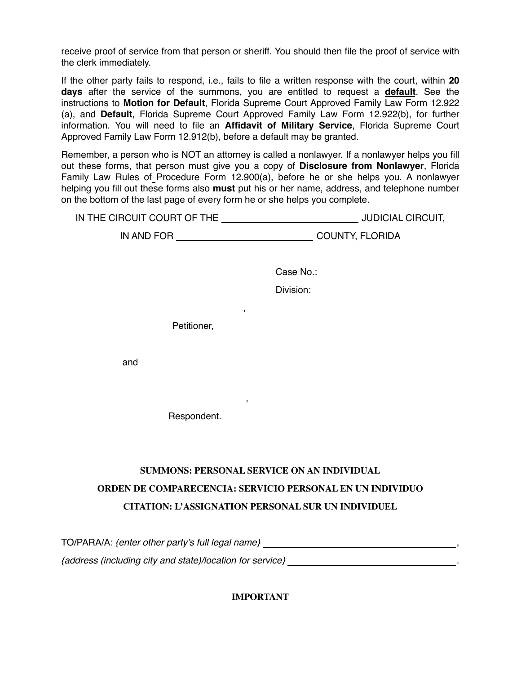receive proof of service from that person or sheriff. You should then file the proof of service with the clerk immediately.

If the other party fails to respond, i.e., fails to file a written response with the court, within **20 days** after the service of the summons, you are entitled to request a **default**. See the instructions to **Motion for Default**, Florida Supreme Court Approved Family Law Form 12.922 (a), and **Default**, Florida Supreme Court Approved Family Law Form 12.922(b), for further information. You will need to file an **Affidavit of Military Service**, Florida Supreme Court Approved Family Law Form 12.912(b), before a default may be granted.

Remember, a person who is NOT an attorney is called a nonlawyer. If a nonlawyer helps you fill out these forms, that person must give you a copy of **Disclosure from Nonlawyer**, Florida Family Law Rules of Procedure Form 12.900(a), before he or she helps you. A nonlawyer helping you fill out these forms also **must** put his or her name, address, and telephone number on the bottom of the last page of every form he or she helps you complete.

| IN THE CIRCUIT COURT OF THE | <b>JUDICIAL CIRCUIT,</b> |
|-----------------------------|--------------------------|
|-----------------------------|--------------------------|

IN AND FOR COUNTY, FLORIDA

Case No.:

Division:

Petitioner,

and

,

,

Respondent.

# **SUMMONS: PERSONAL SERVICE ON AN INDIVIDUAL ORDEN DE COMPARECENCIA: SERVICIO PERSONAL EN UN INDIVIDUO CITATION: L'ASSIGNATION PERSONAL SUR UN INDIVIDUEL**

TO/PARA/A: *{enter other party's full legal name}* ,

*{address (including city and state)/location for service}* .

**IMPORTANT**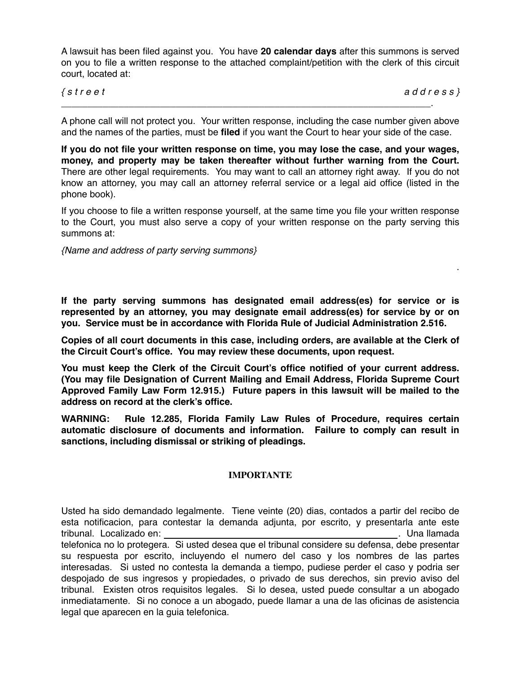A lawsuit has been filed against you. You have **20 calendar days** after this summons is served on you to file a written response to the attached complaint/petition with the clerk of this circuit court, located at:

*{ s t r e e t a d d r e s s }*

.

A phone call will not protect you. Your written response, including the case number given above and the names of the parties, must be **filed** if you want the Court to hear your side of the case.

\_\_\_\_\_\_\_\_\_\_\_\_\_\_\_\_\_\_\_\_\_\_\_\_\_\_\_\_\_\_\_\_\_\_\_\_\_\_\_\_\_\_\_\_\_\_\_\_\_\_\_\_\_\_\_\_\_\_\_\_\_\_\_\_\_\_\_\_\_\_\_.

**If you do not file your written response on time, you may lose the case, and your wages, money, and property may be taken thereafter without further warning from the Court.** There are other legal requirements. You may want to call an attorney right away. If you do not know an attorney, you may call an attorney referral service or a legal aid office (listed in the phone book).

If you choose to file a written response yourself, at the same time you file your written response to the Court, you must also serve a copy of your written response on the party serving this summons at:

*{Name and address of party serving summons}*

**If the party serving summons has designated email address(es) for service or is represented by an attorney, you may designate email address(es) for service by or on you. Service must be in accordance with Florida Rule of Judicial Administration 2.516.**

**Copies of all court documents in this case, including orders, are available at the Clerk of the Circuit Court's office. You may review these documents, upon request.**

**You must keep the Clerk of the Circuit Court's office notified of your current address. (You may file Designation of Current Mailing and Email Address, Florida Supreme Court Approved Family Law Form 12.915.) Future papers in this lawsuit will be mailed to the address on record at the clerk's office.**

**WARNING: Rule 12.285, Florida Family Law Rules of Procedure, requires certain automatic disclosure of documents and information. Failure to comply can result in sanctions, including dismissal or striking of pleadings.**

#### **IMPORTANTE**

Usted ha sido demandado legalmente. Tiene veinte (20) dias, contados a partir del recibo de esta notificacion, para contestar la demanda adjunta, por escrito, y presentarla ante este tribunal. Localizado en: . Una llamada telefonica no lo protegera. Si usted desea que el tribunal considere su defensa, debe presentar su respuesta por escrito, incluyendo el numero del caso y los nombres de las partes interesadas. Si usted no contesta la demanda a tiempo, pudiese perder el caso y podria ser despojado de sus ingresos y propiedades, o privado de sus derechos, sin previo aviso del tribunal. Existen otros requisitos legales. Si lo desea, usted puede consultar a un abogado inmediatamente. Si no conoce a un abogado, puede llamar a una de las oficinas de asistencia legal que aparecen en la guia telefonica.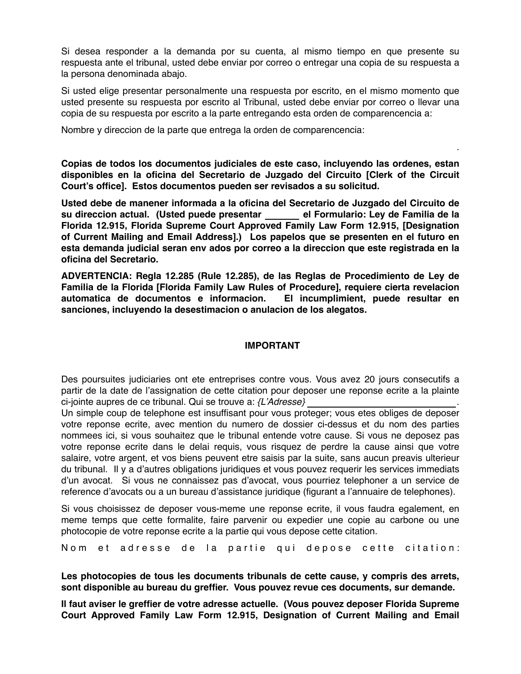Si desea responder a la demanda por su cuenta, al mismo tiempo en que presente su respuesta ante el tribunal, usted debe enviar por correo o entregar una copia de su respuesta a la persona denominada abajo.

Si usted elige presentar personalmente una respuesta por escrito, en el mismo momento que usted presente su respuesta por escrito al Tribunal, usted debe enviar por correo o llevar una copia de su respuesta por escrito a la parte entregando esta orden de comparencencia a:

Nombre y direccion de la parte que entrega la orden de comparencencia:

**Copias de todos los documentos judiciales de este caso, incluyendo las ordenes, estan disponibles en la oficina del Secretario de Juzgado del Circuito [Clerk of the Circuit Court's office]. Estos documentos pueden ser revisados a su solicitud.**

.

**Usted debe de manener informada a la oficina del Secretario de Juzgado del Circuito de**  su direccion actual. (Usted puede presentar el Formulario: Ley de Familia de la **Florida 12.915, Florida Supreme Court Approved Family Law Form 12.915, [Designation of Current Mailing and Email Address].) Los papelos que se presenten en el futuro en esta demanda judicial seran env ados por correo a la direccion que este registrada en la oficina del Secretario.**

**ADVERTENCIA: Regla 12.285 (Rule 12.285), de las Reglas de Procedimiento de Ley de Familia de la Florida [Florida Family Law Rules of Procedure], requiere cierta revelacion automatica de documentos e informacion. El incumplimient, puede resultar en sanciones, incluyendo la desestimacion o anulacion de los alegatos.**

#### **IMPORTANT**

Des poursuites judiciaries ont ete entreprises contre vous. Vous avez 20 jours consecutifs a partir de la date de l'assignation de cette citation pour deposer une reponse ecrite a la plainte ci-jointe aupres de ce tribunal. Qui se trouve a: *{L'Adresse}* .

Un simple coup de telephone est insuffisant pour vous proteger; vous etes obliges de deposer votre reponse ecrite, avec mention du numero de dossier ci-dessus et du nom des parties nommees ici, si vous souhaitez que le tribunal entende votre cause. Si vous ne deposez pas votre reponse ecrite dans le delai requis, vous risquez de perdre la cause ainsi que votre salaire, votre argent, et vos biens peuvent etre saisis par la suite, sans aucun preavis ulterieur du tribunal. Il y a d'autres obligations juridiques et vous pouvez requerir les services immediats d'un avocat. Si vous ne connaissez pas d'avocat, vous pourriez telephoner a un service de reference d'avocats ou a un bureau d'assistance juridique (figurant a l'annuaire de telephones).

Si vous choisissez de deposer vous-meme une reponse ecrite, il vous faudra egalement, en meme temps que cette formalite, faire parvenir ou expedier une copie au carbone ou une photocopie de votre reponse ecrite a la partie qui vous depose cette citation.

Nom et adresse de la partie qui depose cette citation:

**Les photocopies de tous les documents tribunals de cette cause, y compris des arrets, sont disponible au bureau du greffier. Vous pouvez revue ces documents, sur demande.**

**Il faut aviser le greffier de votre adresse actuelle. (Vous pouvez deposer Florida Supreme Court Approved Family Law Form 12.915, Designation of Current Mailing and Email**